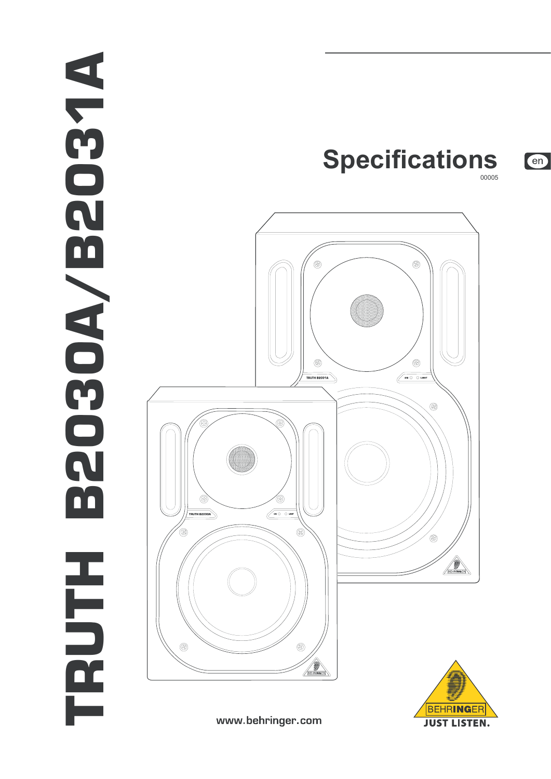## TRUTH B2030A/B2037A **ANS02 ENDEDE** O'A H<br>D<br>D<br>O<br>C



www.behringer.com



en

00005

**Specifications**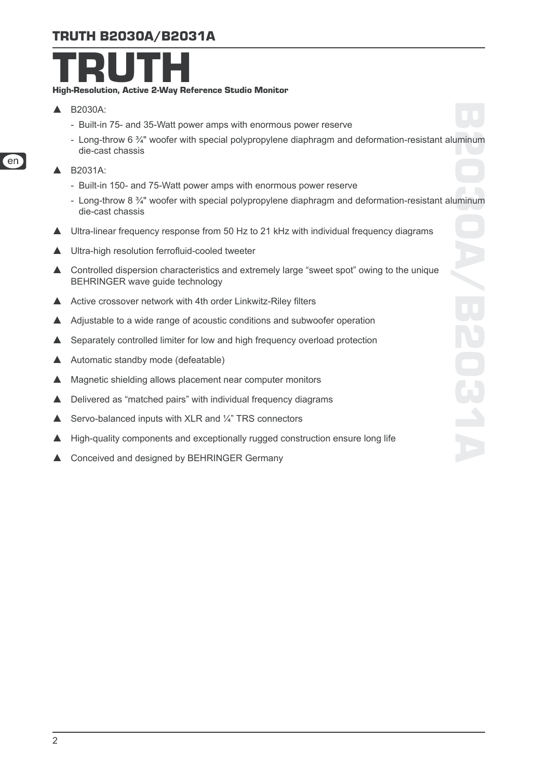## TRUTH B2030A/B2031A



- $\triangle$  B2030A:
	- Built-in 75- and 35-Watt power amps with enormous power reserve
	- Long-throw 6 ¾" woofer with special polypropylene diaphragm and deformation-resistant aluminum die-cast chassis
- ▲ B2031A:
	- Built-in 150- and 75-Watt power amps with enormous power reserve
	- Long-throw 8 ¾" woofer with special polypropylene diaphragm and deformation-resistant aluminum die-cast chassis
- ▲ Ultra-linear frequency response from 50 Hz to 21 kHz with individual frequency diagrams
- Ultra-high resolution ferrofluid-cooled tweeter
- $\blacktriangle$  Controlled dispersion characteristics and extremely large "sweet spot" owing to the unique BEHRINGER wave guide technology
- ▲ Active crossover network with 4th order Linkwitz-Riley filters
- $\triangle$  Adjustable to a wide range of acoustic conditions and subwoofer operation
- $\triangle$  Separately controlled limiter for low and high frequency overload protection
- $\triangle$  Automatic standby mode (defeatable)
- $\blacktriangle$  Magnetic shielding allows placement near computer monitors
- $\triangle$  Delivered as "matched pairs" with individual frequency diagrams
- $\triangle$  Servo-balanced inputs with XLR and  $\frac{1}{4}$ " TRS connectors
- ▲ High-quality components and exceptionally rugged construction ensure long life
- ▲ Conceived and designed by BEHRINGER Germany

'en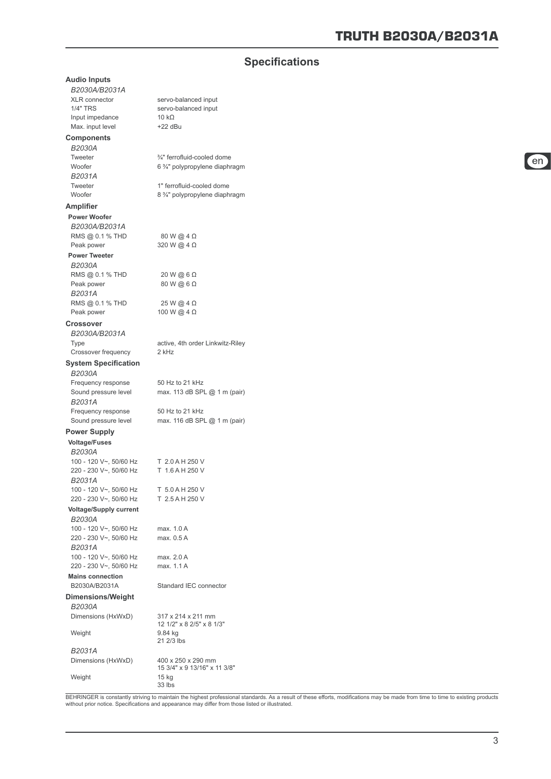## **Specifications**

| <b>Audio Inputs</b>                        |                                                 |
|--------------------------------------------|-------------------------------------------------|
| B2030A/B2031A                              |                                                 |
| <b>XLR</b> connector                       | servo-balanced input                            |
| <b>1/4" TRS</b>                            | servo-balanced input                            |
| Input impedance                            | 10 $k\Omega$                                    |
| Max. input level                           | $+22$ dBu                                       |
| <b>Components</b>                          |                                                 |
| B2030A                                     |                                                 |
| Tweeter                                    | 3/4" ferrofluid-cooled dome                     |
| Woofer                                     | 6 %" polypropylene diaphragm                    |
| B2031A                                     |                                                 |
| Tweeter                                    | 1" ferrofluid-cooled dome                       |
| Woofer                                     | 8 % polypropylene diaphragm                     |
| <b>Amplifier</b>                           |                                                 |
| <b>Power Woofer</b>                        |                                                 |
| B2030A/B2031A                              |                                                 |
| RMS @ 0.1 % THD                            | 80 W @ 4 Ω                                      |
| Peak power                                 | 320 W @ 4 Ω                                     |
| <b>Power Tweeter</b>                       |                                                 |
| B2030A                                     |                                                 |
| RMS @ 0.1 % THD                            | $20 W$ @ 6 $\Omega$                             |
| Peak power                                 | 80 W @ 6 Ω                                      |
| B2031A                                     |                                                 |
| RMS @ 0.1 % THD<br>Peak power              | 25 W @ 4 Ω<br>100 W @ $4 \Omega$                |
|                                            |                                                 |
| <b>Crossover</b>                           |                                                 |
| B2030A/B2031A                              |                                                 |
| <b>Type</b>                                | active, 4th order Linkwitz-Riley<br>2 kHz       |
| Crossover frequency                        |                                                 |
| <b>System Specification</b>                |                                                 |
| B2030A                                     |                                                 |
| Frequency response                         | 50 Hz to 21 kHz                                 |
| Sound pressure level                       | max. 113 dB SPL @ 1 m (pair)                    |
| B2031A                                     |                                                 |
| Frequency response<br>Sound pressure level | 50 Hz to 21 kHz<br>max. 116 dB SPL @ 1 m (pair) |
|                                            |                                                 |
| <b>Power Supply</b>                        |                                                 |
| <b>Voltage/Fuses</b>                       |                                                 |
| B2030A                                     |                                                 |
| 100 - 120 V~, 50/60 Hz                     | T 2.0 A H 250 V<br>T 1.6 A H 250 V              |
| 220 - 230 V~, 50/60 Hz<br>B2031A           |                                                 |
| 100 - 120 V~, 50/60 Hz                     | T 5.0 A H 250 V                                 |
| 220 - 230 V~, 50/60 Hz                     | T 2.5 A H 250 V                                 |
| <b>Voltage/Supply current</b>              |                                                 |
| B2030A                                     |                                                 |
| 100 - 120 V~, 50/60 Hz                     | max. 1.0 A                                      |
| 220 - 230 V~, 50/60 Hz                     | max. 0.5 A                                      |
| B2031A                                     |                                                 |
| 100 - 120 V~, 50/60 Hz                     | max. 2.0 A                                      |
| 220 - 230 V~, 50/60 Hz                     | max. 1.1 A                                      |
| <b>Mains connection</b>                    |                                                 |
| B2030A/B2031A                              | Standard IEC connector                          |
| <b>Dimensions/Weight</b>                   |                                                 |
| B2030A                                     |                                                 |
| Dimensions (HxWxD)                         | 317 x 214 x 211 mm                              |
|                                            | 12 1/2" x 8 2/5" x 8 1/3"                       |
| Weight                                     | 9.84 kg                                         |
|                                            | 21 2/3 lbs                                      |
| B2031A                                     |                                                 |
| Dimensions (HxWxD)                         | 400 x 250 x 290 mm                              |
| Weight                                     | 15 3/4" x 9 13/16" x 11 3/8"<br>15 kg<br>33 lbs |
|                                            |                                                 |

BEHRINGER is constantly striving to maintain the highest professional standards. As a result of these efforts, modifications may be made from time to time to existing products<br>without prior notice. Specifications and appea

en